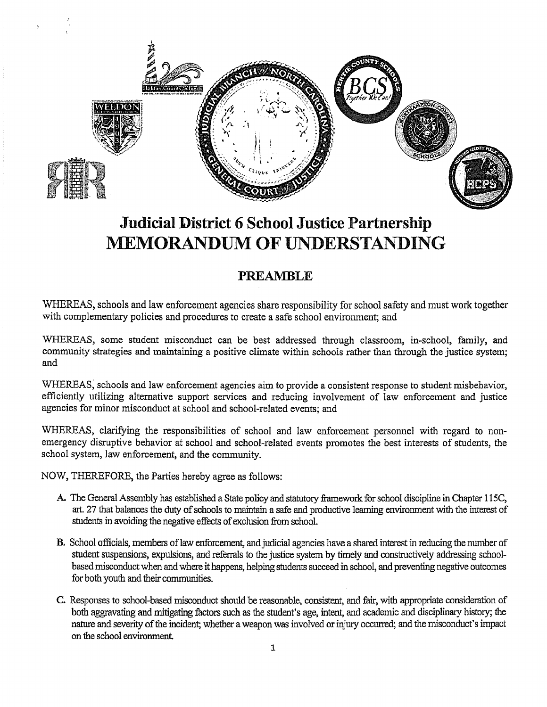

# **Judicial District 6 School Justice Partnership MEMORANDUM OF UNDERSTANDING**

## **PREAMBLE**

WHEREAS, schools and law enforcement agencies share responsibility for school safety and must work together with complementary policies and procedures to create a safe school environment; and

WHEREAS, some student misconduct can be best addressed through classroom, in-school, family, and community strategies and maintaining a positive climate within schools rather than through the justice system; and

WHEREAS; schools and law enforcement agencies aim to provide a consistent response to student misbehavior, efficiently utilizing alternative support services and reducing involvement of law enforcement and justice agencies for minor misconduct at school and school-related events; and

WHEREAS, clarifying the responsibilities of school and law enforcement personnel with regard to nonemergency disruptive behavior at school and school-related events promotes the best interests of students, the school system, law enforcement, and the community.

NOW, THEREFORE, the Parties hereby agree as follows:

- A. The General Assembly has established a State policy and statutory framework for school discipline in Chapter 115C, art. 27 that balances the duty of schools to maintain a safe and productive learning environment with the interest of students in avoiding the negative effects of exclusion from school.
- **B.** School officials, members of law enforcement, and judicial agencies have a shared interest in reducing the number of student suspensions, expulsions, and referrals to the justice system by timely and constructively addressing schoolbased misconduct when and where it happens, helping students succeed in school, and preventing negative outcomes for both youth and their communities.
- C. Responses to school-based misconduct should be reasonable, consistent, and fair, with appropriate consideration of both aggravating and mitigating factors such as the student's age, intent, and academic and disciplinary history; the nature and severity of the incident; whether a weapon was involved or injury occurred; and the misconduct's impact on the school environment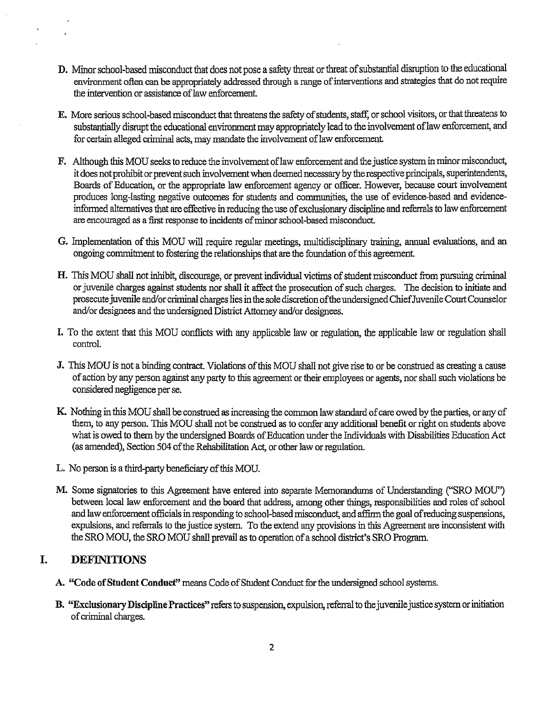- **D.** Minor school-based misconduct that does not pose a safety threat or threat of substantial disruption to the educational environment often can be appropriately addressed through a range of interventions and strategies that do not require the intervention or assistance of law enforcement.
- E. More serious school-based misconduct that threatens the safety of students, staff, or school visitors, or that threatens to substantially disrupt the educational environment may appropriately lead to the involvement of law enforcement, and for certain alleged criminal acts, may mandate the involvement of law enforcement.
- **F.** Although this MOU seeks to reduce the involvement oflaw enforcement and the justice system in minor misconduct, it does not prohibit or prevent such involvement when deemed necessary by the respective principals, superintendents, Boards of Education, or the appropriate law enforcement agency or officer. However, because court involvement produces long-lasting negative outcomes for students and communities, the use of evidence-based and evidenceinformed alternatives that are effective in reducing the use of exclusionary discipline and referrals to law enforcement are encouraged as a first response to incidents of minor school-based misconduct.
- **G.** Implementation of this MOU will require regular meetings, multidisciplinary training, annual evaluations, and an ongoing commitment to fostering the relationships that are the foundation of this agreement
- **H.** This MOU shall not inhibit, discourage, or prevent individual victims of student misconduct from pursuing criminal or juvenile charges against students nor shall it affect the prosecution of such charges. The decision to initiate and prosecute juvenile and/or criminal charges lies in the sole discretion of the undersigned ChiefJuvenile Court Counselor and/or designees and the undersigned District Attorney and/or designees.
- I. To the extent that this MOU conflicts with any applicable law or regulation, the applicable law or regulation shall control.
- **J.** This MOU is not a binding contract. Violations of this MOU shall not give rise to or be construed as creating a cause of action by any person against any party to this agreement or their employees or agents, nor shall such violations be considered negligence per se.
- **K.** Nothing in this MOU shall be construed as increasing the common law standard of care owed by the parties, or any of them, to any person. This MOU shall not be construed as to confer any additional benefit or right on students above what is owed to them by the undersigned Boards of Education under the Individuals with Disabilities Education Act (as amended), Section 504 of the Rehabilitation Act, or other law or regulation.
- L. No person is a third-party beneficiary of this MOU.
- **M.** Some signatories to this Agreement have entered into separate Memorandums of Understanding ("SRO MOU") between local law enforcement and the board that address, among other things, responsibilities and roles of school and law enforcement officials in responding to school-based misconduct, and affirm the goal of reducing suspensions, expulsions, and referrals to the justice system. To the extend any provisions in this Agreement are inconsistent with the SRO MOU, the SRO MOU shall prevail as to operation of a school district's SRO Program.

## **I. DEFINITIONS**

- **A. "Code of Student Conduct"** means Code of Student Conduct for the undersigned school systems.
- **B. "Exclusionary Discipline Practices"** refers to suspension, expulsion, referral to the juvenile justice system or initiation of criminal charges.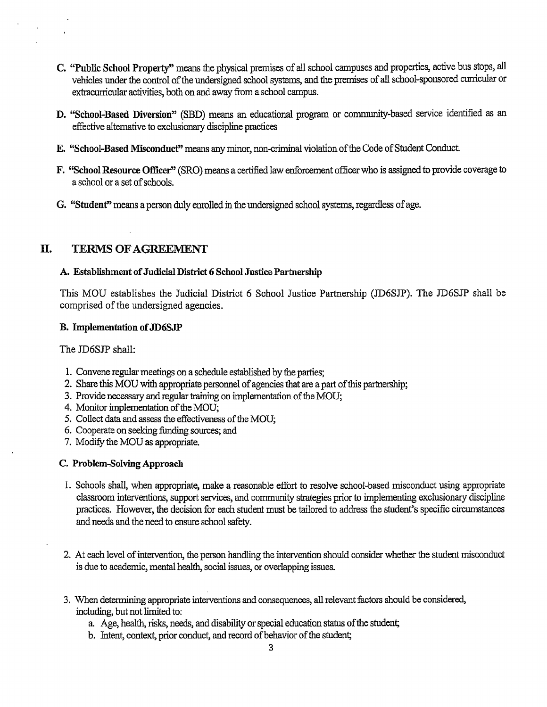- **C. "Public School Property"** means the physical premises of all school campuses and properties, active bus stops, all vehicles under the control of the undersigned school systems, and the premises of all school-sponsored cunicular or extracurricular activities, both on and away from a school campus.
- **D. "School-Based Diversion"** (SBD) means an educational program or community-based service identified as an effective alternative to exclusionary discipline practices
- E. **"School-Based Misconduct"** means any minor, non-criminal violation of the Code of Student Conduct
- F. **"School Resource Officer''** (SRO) means a certified law enforcement officer who is assigned to provide coverage to a school or a set of schools.
- **G. "Student"** means a person duly enrolled in the undersigned school systems, regardless of age.

## II. **TERMS OF AGREEMENT**

#### **A. Establishment of Judicial District 6 School Justice Partnership**

This MOU establishes the Judicial District 6 School Justice Partnership (JD6SJP). The JD6SJP shall be comprised of the undersigned agencies.

#### **B. Implementation of JD6SJP**

The JD6SJP shall:

- 1. Convene regular meetings on a schedule established by the parties;
- 2. Share this MOU with appropriate personnel of agencies that are a part of this partnership;
- 3. Provide necessary and regular training on implementation of the MOU;
- 4. Monitor implementation of the MOU;
- 5. Collect data and assess the effectiveness of the MOU;
- 6. Cooperate on seeking funding sources; and
- 7. Modify the MOU as appropriate.

#### **C. Problem-Solving Approach**

- 1. Schools shall, when appropriate, make a reasonable effort to resolve school-based misconduct using appropriate classroom interventions, support services, and community strategies prior to implementing exclusionary discipline practices. However, the decision for each student must be tailored to address the student's specific circumstances and needs and the need to ensure school safety.
- 2. At each level of intervention, the person handling the intervention should consider whether the student misconduct is due to academic, mental health, social issues, or overlapping issues.
- 3. When determining appropriate interventions and consequences, all relevant factors should be considered, including, but not limited to:
	- a. Age, health, risks, needs, and disability or special education status of the student;
	- b. Intent, context, prior conduct, and record of behavior of the student;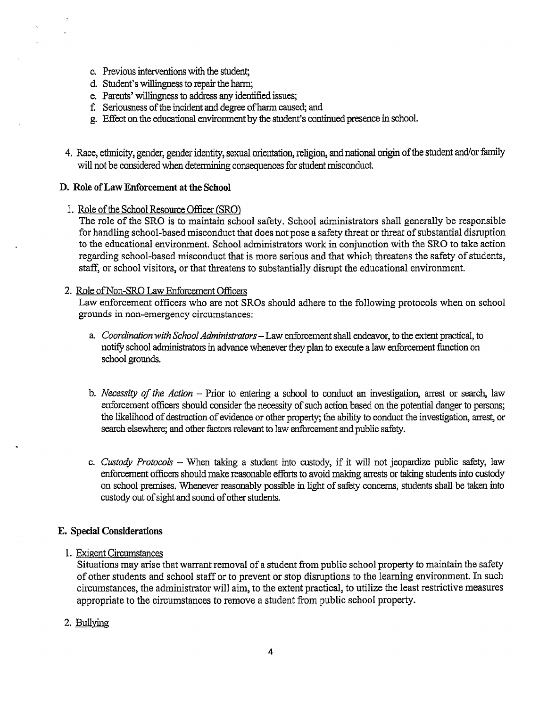- c. Previous interventions with the student;
- d. Student's willingness to repair the harm;
- e. Parents' willingness to address any identified issues;
- f Seriousness of the incident and degree of harm caused; and
- g. Effect on the educational environment by the student's continued presence in school.
- 4. Race, ethnicity, gender, gender identity, sexual orientation, religion, and national origin of the student and/or family will not be considered when detennining consequences for student misconduct.

#### **D. Role** of **Law Enforcement at the School**

I. Role of the School Resource Officer (SRO)

The role of the SRO is to maintain school safety. School administrators shall generally be responsible for handling school-based misconduct that does not pose a safety threat or threat of substantial disruption to the educational environment. School administrators work in conjunction with the SRO to take action regarding school-based misconduct that is more serious and that which threatens the safety of students, staff, or school visitors, or that threatens to substantially disrupt the educational environment.

#### 2. Role of Non-SRO Law Enforcement Officers

Law enforcement officers who are not SROs should adhere to the following protocols when on school grounds in non-emergency circumstances:

- a. *Coordination with School Administrators-*Law enforcement shall endeavor, to the extent practical, to notify school administrators in advance whenever they plan to execute a law enforcement function on school grounds.
- b. *Necessity of the Action* Prior to entering a school to conduct an investigation, arrest or search, law enforcement officers should consider the necessity of such action based on the potential danger to persons; the likelihood of destruction of evidence or other property; the ability to conduct the investigation, arrest, or search elsewhere; and other factors relevant to law enforcement and public safety.
- c. *Custody Protocols*  When taking a student into custody, if it will not jeopardize public safety, law enforcement officers should make reasonable efforts to avoid making arrests or taking students into custody on school premises. Whenever reasonably possible in light of safety concerns, students shall be taken into custody out of sight and sound of other students.

#### **E. Special Considerations**

#### 1. Exigent Circumstances

Situations may arise that warrant removal of a student from public school property to maintain the safety of other students and school staff or to prevent or stop disruptions to the learning environment. In such circumstances, the administrator will aim, to the extent practical, to utilize the least restrictive measures appropriate to the circumstances to remove a student from public school property.

2. Bullying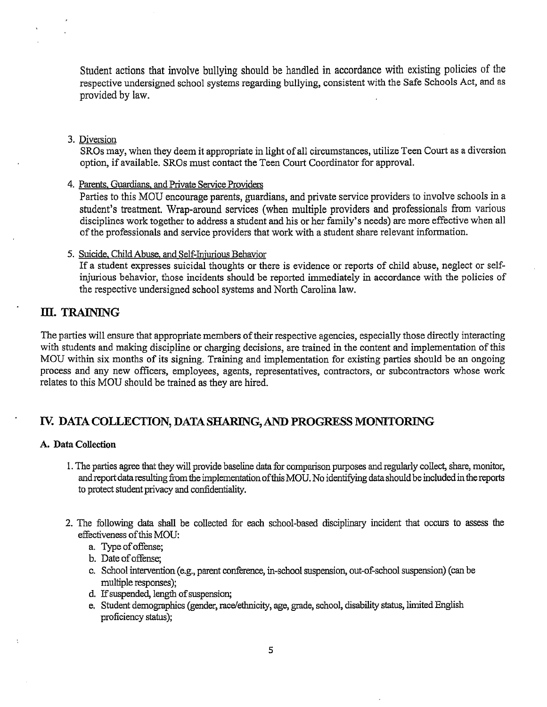Student actions that involve bullying should be handled in accordance with existing policies of the respective undersigned school systems regarding bullying, consistent with the Safe Schools Act, and as provided by law.

#### 3. Diversion

SROs may, when they deem it appropriate in light of all circumstances, utilize Teen Court as a diversion option, if available. SROs must contact the Teen Court Coordinator for approval.

4. Parents, Guardians, and Private Service Providers

Parties to this MOU encourage parents, guardians, and private service providers to involve schools in a student's treatment. Wrap-around services (when multiple providers and professionals from various disciplines work together to address a student and his or her family's needs) are more effective when all of the professionals and service providers that work with a student share relevant information.

### 5. Suicide, Child Abuse, and Self-Injurious Behavior

If a student expresses suicidal thoughts or there is evidence or reports of child abuse, neglect or selfinjurious behavior, those incidents should be reported immediately in accordance with the policies of the respective undersigned school systems and North Carolina law.

## III. TRAINING

The parties will ensure that appropriate members of their respective agencies, especially those directly interacting with students and making discipline or charging decisions, are trained in the content and implementation of this MOU within six months of its signing. Training and implementation for existing parties should be an ongoing process and any new officers, employees, agents, representatives, contractors, or subcontractors whose work relates to this MOU should be trained as they are hired.

## Iv. **DATA COLLECTION, DATA SHARING, AND PROGRESS MONITORING**

#### **A. Data Collection**

- 1. The parties agree that they will provide baseline data for comparison purposes and regularly collect, share, monitor, and report data resulting from the implementation of this MOU. No identifying data should be included in the reports to protect student privacy and confidentiality.
- 2. The following data shall be collected for each school-based disciplinary incident that occurs to assess the effectiveness of this MOU:
	- a. Type of offense;
	- b. Date of offense;
	- c. School intervention (e.g., parent conference, in-school suspension, out-of-school suspension) (can be multiple responses);
	- d. If suspended, length of suspension;
	- e. Student demographics (gender, race/ethnicity, age, grade, school, disability status, limited English proficiency status);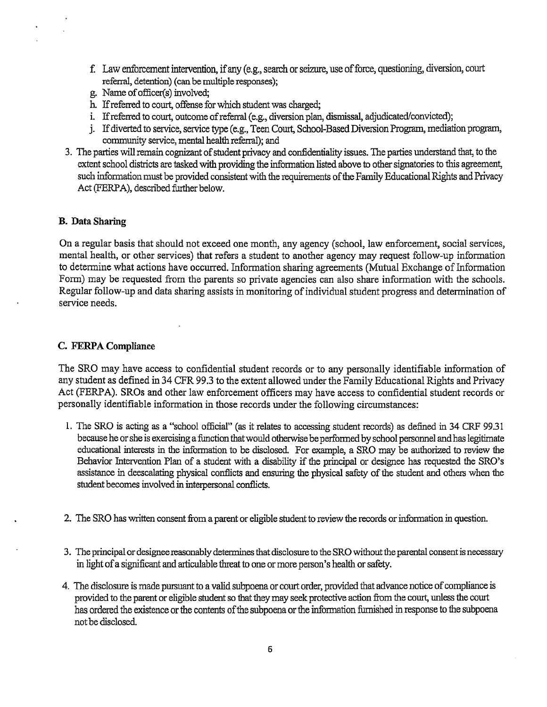- f. Law enforcement intervention, if any ( e.g., search or seizure, use of force, questioning, diversion, court referral, detention) (can be multiple responses);
- g. Name of officer(s) involved;
- h. If referred to court, offense for which student was charged;
- i. If referred to court, outcome of referral (e.g., diversion plan, dismissal, adjudicated/convicted);
- j. If diverted to service, service type (e.g., Teen Court, School-Based Diversion Program, mediation program, community service, mental health referral); and
- 3. The parties will remain cognizant of student privacy and confidentiality issues. The parties understand that, to the extent school districts are tasked with providing the infonnation listed above to other signatories to this agreement, such infonnation must be provided consistent with the requirements of the Family Educational Rights and Privacy Act (FERPA), described further below.

#### **B. Data Sharing**

On a regular basis that should not exceed one month, any agency (school, law enforcement, social services, mental health, or other services) that refers a student to another agency may request follow-up information to determine what actions have occurred. Information sharing agreements (Mutual Exchange of Information Form) may be requested from the parents so private agencies can also share information with the schools. Regular follow-up and data sharing assists in monitoring of individual student progress and determination of service needs.

#### **C. FERPA Compliance**

The SRO may have access to confidential student records or to any personally identifiable information of any student as defined in 34 CFR 99 .3 to the extent allowed under the Family Educational Rights and Privacy Act (FERP A). SROs and other law enforcement officers may have access to confidential student records or personally identifiable information in those records under the following circumstances:

- 1. The SRO is acting as a "school official" (as it relates to accessing student records) as defined in 34 CRF 99.31 because he or she is exercising a function that would otherwise be perfonned by school personnel and has legitimate educational interests in the information to be disclosed. For example, a SRO may be authorized to review the Behavior Intervention Plan of a student with a disability if the principal or designee has requested the SRO's assistance in deescalating physical conflicts and ensuring the physical safety of the student and others when the student becomes involved in interpersonal conflicts.
- 2. The SRO has written consent from a parent or eligible student to review the records or information in question.
- 3. The principal or designee reasonably determines that disclosure to the SRO without the parental consent is necessary in light of a significant and articulable threat to one or more person's health or safety.
- 4. The disclosure is made pursuant to a valid subpoena or court order, provided that advance notice of compliance is provided to the parent or eligible student so that they may seek protective action from the court, unless the court has ordered the existence or the contents of the subpoena or the infonnation furnished in response to the subpoena not be disclosed.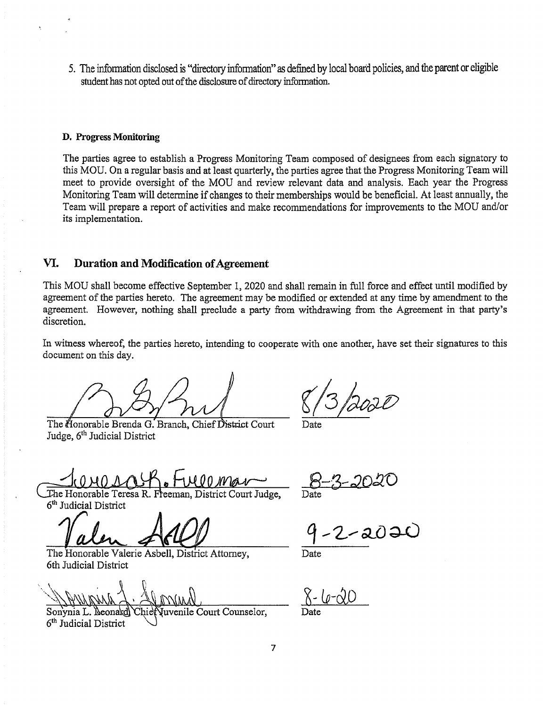5. The information disclosed is "directory information" as defined by local board policies, and the parent or eligible student has not opted out of the disclosure of directory infonnation.

#### **D. Progress Monitoring**

The parties agree to establish a Progress Monitoring Team composed of designees from each signatory to this MOU. On a regular basis and at least quarterly, the parties agree that the Progress Monitoring Team will meet to provide oversight of the MOU and review relevant data and analysis. Each year the Progress Monitoring Team will determine if changes to their memberships would be beneficial. At least annually, the Team will prepare a report of activities and make recommendations for improvements to the MOU and/or its implementation.

## **VI. Duration and Modification of Agreement**

This MOU shall become effective September 1, 2020 and shall remain in full force and effect until modified by agreement of the parties hereto. The agreement may be modified or extended at any time by amendment to the agreement. However, nothing shall preclude a party from withdrawing from the Agreement in that party's discretion.

In witness whereof, the parties hereto, intending to cooperate with one another, have set their signatures to this document on this day.

The Honorable Brenda G. Branch, Chief District Court Judge, 6<sup>th</sup> Judicial District

 $\frac{8}{3}$  post

Date

<u>Jenais Fuerman</u>

eHonorable Teresa R.Fleeman, District Court Judge, 6th Judicial District

Valen Actel

The Honorable Valerie Asbell, District Attorney, 6th Judicial District

Juvenile Court Counselor, Sonynia L. Neona 6th Judicial District

Date

Date

 $2 - (p - \alpha)$ Date